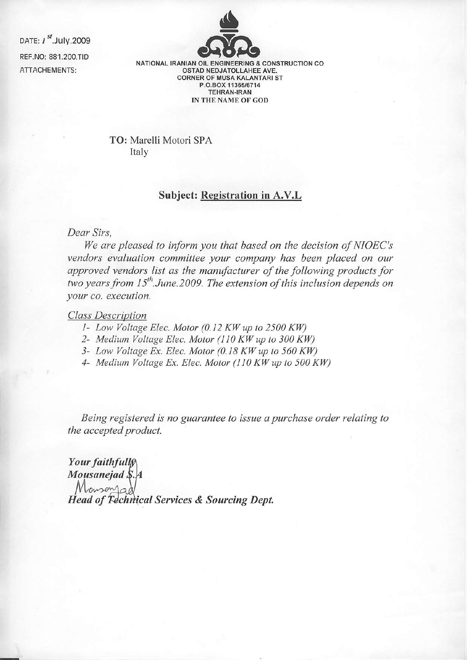DATE: *I* <sup>st</sup>.July.2009<br>REF.NO: 881.200.TID<br>NATIONAL IRANIAN OIL ENGINEERING & CONSTRUCTION CO ATTACHEMENTS:



OSTAD NEDJATOLLAHEE AVE. CORNER OF MUSA KALANTARI ST P.O.BOX 11365/6714 TEHRAN-IRAN IN THE NAME OF GOD

TO: Marelli Motori SPA Italy

## Subject: Registration in A.V.L

Dear Sirs,

We are pleased to inform you that based on the decision of NIOEC's vendors evaluation committee your company has been placed on our approved vendors list as the manufacturer of the following products for two years from  $15^{th}$ . June. 2009. The extension of this inclusion depends on your co. execution.

## Class Description

- $I-$  Low Voltage Elec. Motor (0.12 KW up to 2500 KW)
- 2- Medium Voltage Elec. Motor (110 KW up to 300 KW)
- 3- Low Voltage Ex. Elec. Motor (0.18 KW up to 560 KW)
- 4- Medium Voltage Ex. Elec. Motor (110 KW up to 500 KW)

Being registered is no guarantee to issue a purchase order relating to the accepted product.

Your faithfull Mousanejad \$.4 **Head of Fechnical Services & Sourcing Dept.**